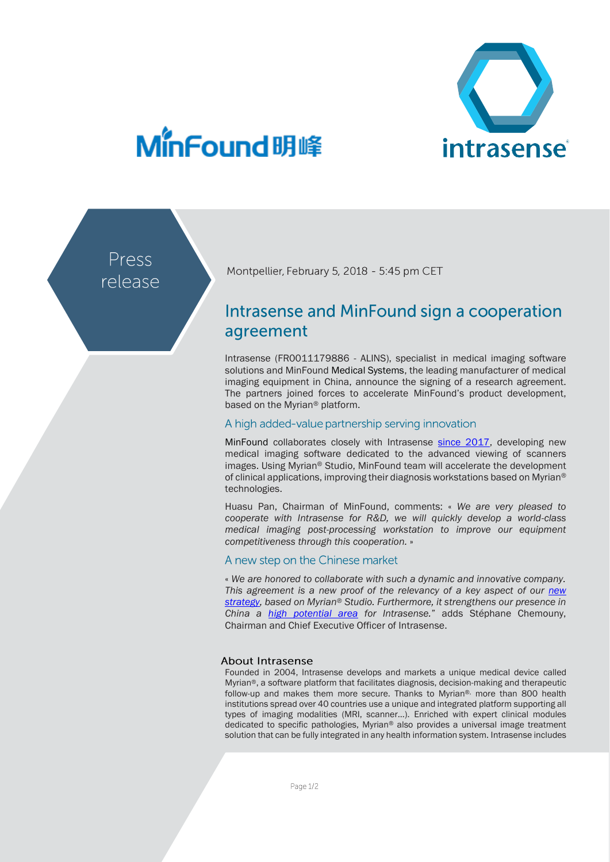

## MinFound明峰

Press release

Montpellier, February 5, 2018 - 5:45 pm CET

### Intrasense and MinFound sign a cooperation agreement

Intrasense (FR0011179886 - ALINS), specialist in medical imaging software solutions and MinFound Medical Systems, the leading manufacturer of medical imaging equipment in China, announce the signing of a research agreement. The partners joined forces to accelerate MinFound's product development, based on the Myrian® platform.

#### A high added-value partnership serving innovation

MinFound collaborates closely with Intrasense [since 2017,](http://www.intrasense.fr/wp-content/uploads/2017/10/PR_Intrasense_23102017_China.pdf) developing new medical imaging software dedicated to the advanced viewing of scanners images. Using Myrian® Studio, MinFound team will accelerate the development of clinical applications, improving their diagnosis workstations based on Myrian® technologies.

Huasu Pan, Chairman of MinFound, comments: « *We are very pleased to cooperate with Intrasense for R&D, we will quickly develop a world-class medical imaging post-processing workstation to improve our equipment competitiveness through this cooperation.* »

#### A new step on the Chinese market

« *We are honored to collaborate with such a dynamic and innovative company. This agreement is a new proof of the relevancy of a key aspect of our [new](http://www.intrasense.fr/wp-content/uploads/2017/09/press-release_Strategy2017-20170928-EN.pdf)  [strategy,](http://www.intrasense.fr/wp-content/uploads/2017/09/press-release_Strategy2017-20170928-EN.pdf) based on Myrian® Studio. Furthermore, it strengthens our presence in China a [high potential area](http://www.intrasense.fr/wp-content/uploads/2017/10/PR_Intrasense_23102017_China.pdf) for Intrasense.*" adds Stéphane Chemouny, Chairman and Chief Executive Officer of Intrasense.

#### **About Intrasense**

Founded in 2004, Intrasense develops and markets a unique medical device called Myrian®, a software platform that facilitates diagnosis, decision-making and therapeutic follow-up and makes them more secure. Thanks to Myrian®, more than 800 health institutions spread over 40 countries use a unique and integrated platform supporting all types of imaging modalities (MRI, scanner…). Enriched with expert clinical modules dedicated to specific pathologies, Myrian® also provides a universal image treatment solution that can be fully integrated in any health information system. Intrasense includes